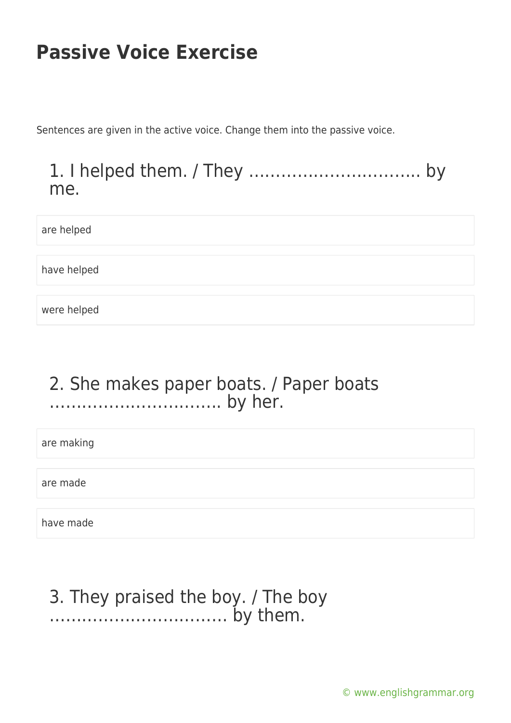Sentences are given in the active voice. Change them into the passive voice.

1. I helped them. / They ………………………….. by me.

are helped

have helped

were helped

### 2. She makes paper boats. / Paper boats ………………………….. by her.

are making

are made

have made

### 3. They praised the boy. / The boy …………………………… by them.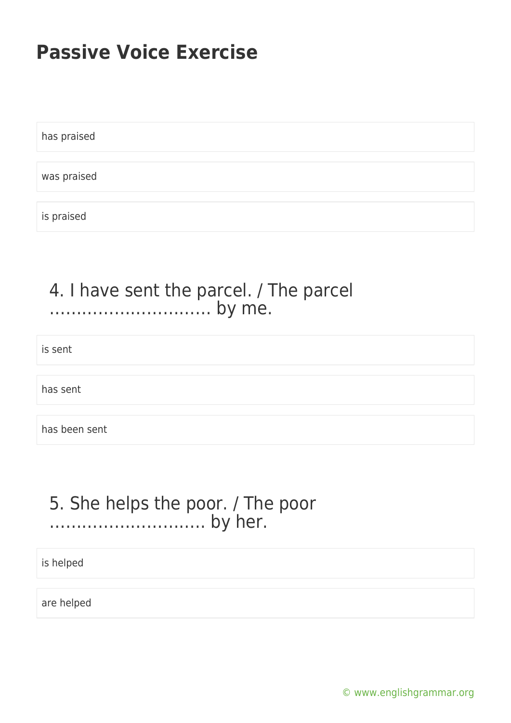has praised

was praised

is praised

### 4. I have sent the parcel. / The parcel ………………………… by me.

is sent

has sent

has been sent

### 5. She helps the poor. / The poor ……………………….. by her.

is helped

are helped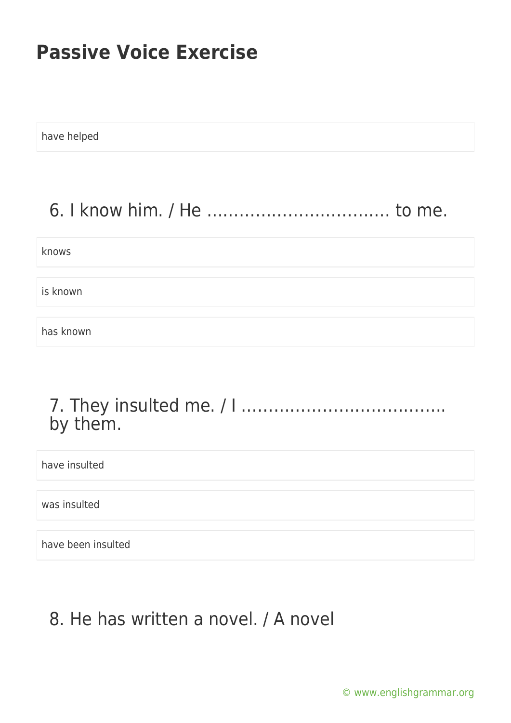have helped

## 6. I know him. / He ……………………………. to me.

knows

is known

has known

### 7. They insulted me. / I ……………………………….. by them.

have insulted

was insulted

have been insulted

### 8. He has written a novel. / A novel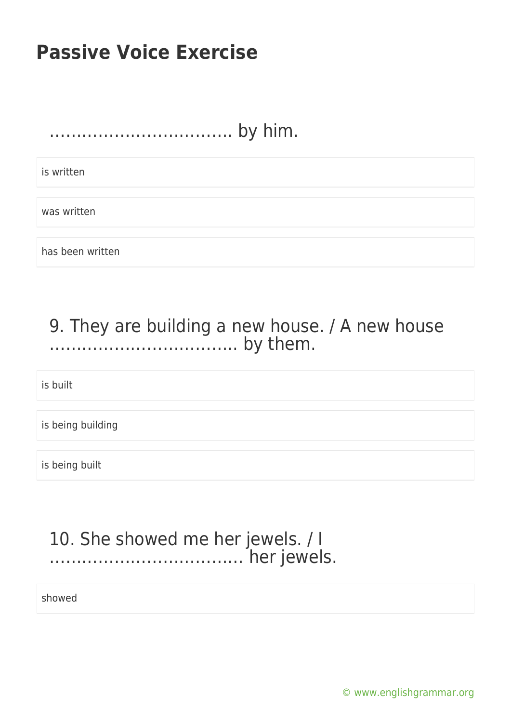……………………………. by him.

is written

was written

has been written

### 9. They are building a new house. / A new house …………………………….. by them.

is built

is being building

is being built

#### 10. She showed me her jewels. / I ……………………………… her jewels.

showed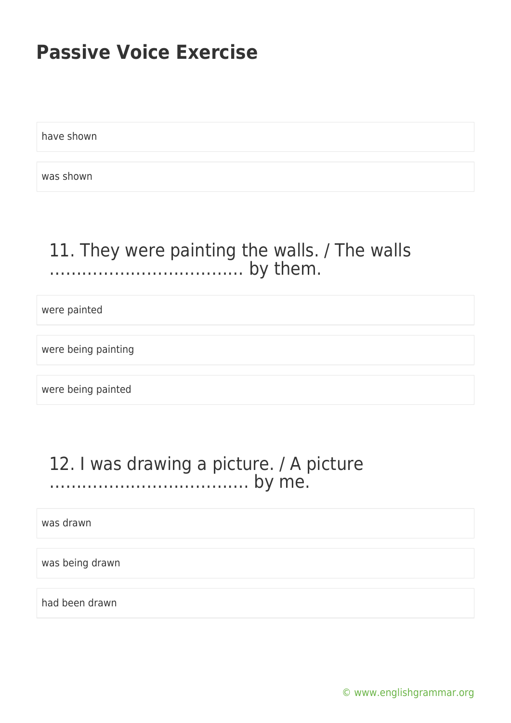have shown

was shown

### 11. They were painting the walls. / The walls ……………………………… by them.

were painted

were being painting

were being painted

### 12. I was drawing a picture. / A picture ………………………………. by me.

was drawn

was being drawn

had been drawn